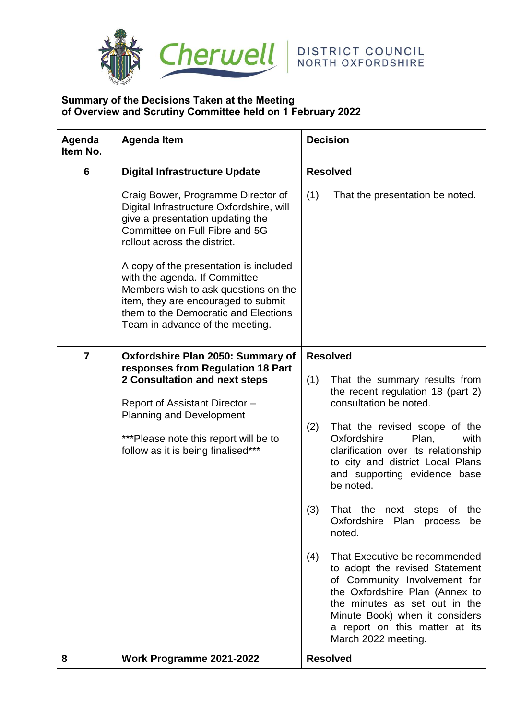

## **Summary of the Decisions Taken at the Meeting of Overview and Scrutiny Committee held on 1 February 2022**

| Agenda<br>Item No. | <b>Agenda Item</b>                                                                                                                                                                                                                                                                                                                                                                                                        | <b>Decision</b>                                                                                                                                                                                                                                                                                                                                                                                                                                                                                                                                                                                              |  |
|--------------------|---------------------------------------------------------------------------------------------------------------------------------------------------------------------------------------------------------------------------------------------------------------------------------------------------------------------------------------------------------------------------------------------------------------------------|--------------------------------------------------------------------------------------------------------------------------------------------------------------------------------------------------------------------------------------------------------------------------------------------------------------------------------------------------------------------------------------------------------------------------------------------------------------------------------------------------------------------------------------------------------------------------------------------------------------|--|
| 6                  | <b>Digital Infrastructure Update</b>                                                                                                                                                                                                                                                                                                                                                                                      | <b>Resolved</b>                                                                                                                                                                                                                                                                                                                                                                                                                                                                                                                                                                                              |  |
|                    | Craig Bower, Programme Director of<br>Digital Infrastructure Oxfordshire, will<br>give a presentation updating the<br>Committee on Full Fibre and 5G<br>rollout across the district.<br>A copy of the presentation is included<br>with the agenda. If Committee<br>Members wish to ask questions on the<br>item, they are encouraged to submit<br>them to the Democratic and Elections<br>Team in advance of the meeting. | (1)<br>That the presentation be noted.                                                                                                                                                                                                                                                                                                                                                                                                                                                                                                                                                                       |  |
| $\overline{7}$     | Oxfordshire Plan 2050: Summary of<br>responses from Regulation 18 Part<br>2 Consultation and next steps<br>Report of Assistant Director -<br><b>Planning and Development</b><br>*** Please note this report will be to<br>follow as it is being finalised***                                                                                                                                                              | <b>Resolved</b>                                                                                                                                                                                                                                                                                                                                                                                                                                                                                                                                                                                              |  |
|                    |                                                                                                                                                                                                                                                                                                                                                                                                                           | (1)<br>That the summary results from<br>the recent regulation 18 (part 2)<br>consultation be noted.<br>(2)<br>That the revised scope of the<br>Oxfordshire<br>Plan,<br>with<br>clarification over its relationship<br>to city and district Local Plans<br>and supporting evidence base<br>be noted.<br>(3)<br>That the next<br>the<br>steps<br>0f<br>Oxfordshire Plan process<br>be<br>noted.<br>That Executive be recommended<br>(4)<br>to adopt the revised Statement<br>of Community Involvement for<br>the Oxfordshire Plan (Annex to<br>the minutes as set out in the<br>Minute Book) when it considers |  |
| 8                  | Work Programme 2021-2022                                                                                                                                                                                                                                                                                                                                                                                                  | a report on this matter at its<br>March 2022 meeting.<br><b>Resolved</b>                                                                                                                                                                                                                                                                                                                                                                                                                                                                                                                                     |  |